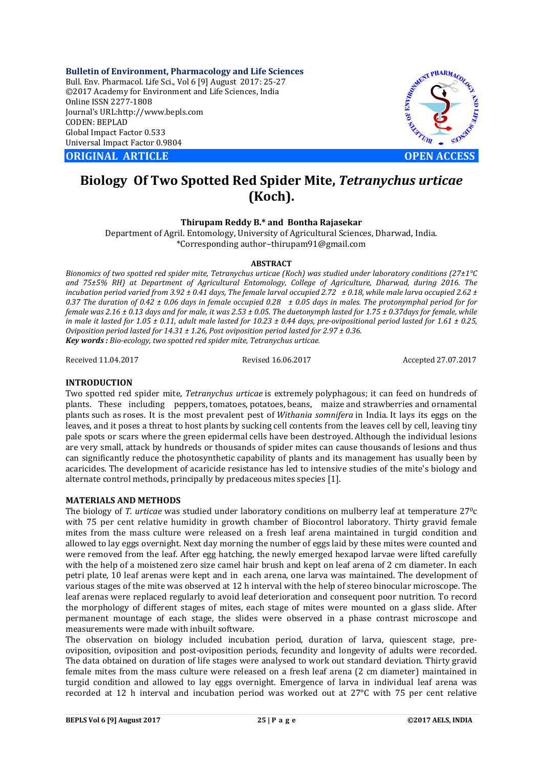**Bulletin of Environment, Pharmacology and Life Sciences** Bull. Env. Pharmacol. Life Sci., Vol 6 [9] August 2017: 25-27 ©2017 Academy for Environment and Life Sciences, India Online ISSN 2277-1808 Journal's URL:http://www.bepls.com CODEN: BEPLAD Global Impact Factor 0.533 Universal Impact Factor 0.9804

**ORIGINAL ARTICLE OPEN ACCESS** 



# **Biology Of Two Spotted Red Spider Mite,** *Tetranychus urticae*  **(Koch).**

**Thirupam Reddy B.\* and Bontha Rajasekar**

Department of Agril. Entomology, University of Agricultural Sciences, Dharwad, India. \*Corresponding author–thirupam91@gmail.com

#### **ABSTRACT**

*Bionomics of two spotted red spider mite, Tetranychus urticae (Koch) was studied under laboratory conditions (27±1°C and 75±5% RH) at Department of Agricultural Entomology, College of Agriculture, Dharwad, during 2016. The incubation period varied from 3.92 ± 0.41 days, The female larval occupied 2.72 ± 0.18, while male larva occupied 2.62 ± 0.37 The duration of 0.42 ± 0.06 days in female occupied 0.28 ± 0.05 days in males. The protonymphal period for for female was 2.16 ± 0.13 days and for male, it was 2.53 ± 0.05. The duetonymph lasted for 1.75 ± 0.37days for female, while in male it lasted for 1.05 ± 0.11, adult male lasted for 10.23 ± 0.44 days, pre-ovipositional period lasted for 1.61 ± 0.25, Oviposition period lasted for 14.31 ± 1.26, Post oviposition period lasted for 2.97 ± 0.36. Key words : Bio-ecology, two spotted red spider mite, Tetranychus urticae.*

Received 11.04.2017 Revised 16.06.2017 Accepted 27.07.2017

## **INTRODUCTION**

Two spotted red spider mite, *Tetranychus urticae* is extremely polyphagous; it can feed on hundreds of plants. These including peppers, tomatoes, potatoes, beans, maize and strawberries and ornamental plants such as roses. It is the most prevalent pest of *Withania somnifera* in India. It lays its eggs on the leaves, and it poses a threat to host plants by sucking cell contents from the leaves cell by cell, leaving tiny pale spots or scars where the green epidermal cells have been destroyed. Although the individual lesions are very small, attack by hundreds or thousands of spider mites can cause thousands of lesions and thus can significantly reduce the photosynthetic capability of plants and its management has usually been by acaricides. The development of acaricide resistance has led to intensive studies of the mite's biology and alternate control methods, principally by predaceous mites species [1].

### **MATERIALS AND METHODS**

The biology of *T. urticae* was studied under laboratory conditions on mulberry leaf at temperature 270c with 75 per cent relative humidity in growth chamber of Biocontrol laboratory. Thirty gravid female mites from the mass culture were released on a fresh leaf arena maintained in turgid condition and allowed to lay eggs overnight. Next day morning the number of eggs laid by these mites were counted and were removed from the leaf. After egg hatching, the newly emerged hexapod larvae were lifted carefully with the help of a moistened zero size camel hair brush and kept on leaf arena of 2 cm diameter. In each petri plate, 10 leaf arenas were kept and in each arena, one larva was maintained. The development of various stages of the mite was observed at 12 h interval with the help of stereo binocular microscope. The leaf arenas were replaced regularly to avoid leaf deterioration and consequent poor nutrition. To record the morphology of different stages of mites, each stage of mites were mounted on a glass slide. After permanent mountage of each stage, the slides were observed in a phase contrast microscope and measurements were made with inbuilt software.

The observation on biology included incubation period, duration of larva, quiescent stage, preoviposition, oviposition and post-oviposition periods, fecundity and longevity of adults were recorded. The data obtained on duration of life stages were analysed to work out standard deviation. Thirty gravid female mites from the mass culture were released on a fresh leaf arena (2 cm diameter) maintained in turgid condition and allowed to lay eggs overnight. Emergence of larva in individual leaf arena was recorded at 12 h interval and incubation period was worked out at 27°C with 75 per cent relative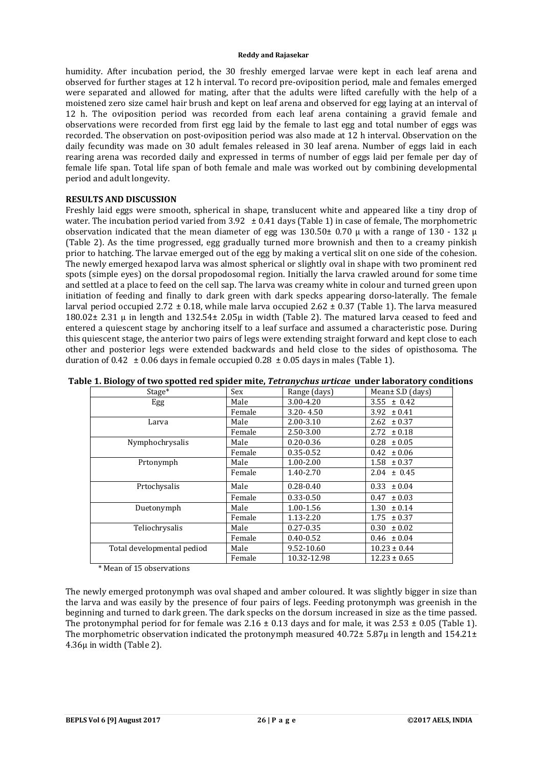#### **Reddy and Rajasekar**

humidity. After incubation period, the 30 freshly emerged larvae were kept in each leaf arena and observed for further stages at 12 h interval. To record pre-oviposition period, male and females emerged were separated and allowed for mating, after that the adults were lifted carefully with the help of a moistened zero size camel hair brush and kept on leaf arena and observed for egg laying at an interval of 12 h. The oviposition period was recorded from each leaf arena containing a gravid female and observations were recorded from first egg laid by the female to last egg and total number of eggs was recorded. The observation on post-oviposition period was also made at 12 h interval. Observation on the daily fecundity was made on 30 adult females released in 30 leaf arena. Number of eggs laid in each rearing arena was recorded daily and expressed in terms of number of eggs laid per female per day of female life span. Total life span of both female and male was worked out by combining developmental period and adult longevity.

# **RESULTS AND DISCUSSION**

Freshly laid eggs were smooth, spherical in shape, translucent white and appeared like a tiny drop of water. The incubation period varied from  $3.92 \pm 0.41$  days (Table 1) in case of female, The morphometric observation indicated that the mean diameter of egg was 130.50 $\pm$  0.70  $\mu$  with a range of 130 - 132  $\mu$ (Table 2). As the time progressed, egg gradually turned more brownish and then to a creamy pinkish prior to hatching. The larvae emerged out of the egg by making a vertical slit on one side of the cohesion. The newly emerged hexapod larva was almost spherical or slightly oval in shape with two prominent red spots (simple eyes) on the dorsal propodosomal region. Initially the larva crawled around for some time and settled at a place to feed on the cell sap. The larva was creamy white in colour and turned green upon initiation of feeding and finally to dark green with dark specks appearing dorso-laterally. The female larval period occupied 2.72  $\pm$  0.18, while male larva occupied 2.62  $\pm$  0.37 (Table 1). The larva measured 180.02± 2.31 μ in length and 132.54± 2.05μ in width (Table 2). The matured larva ceased to feed and entered a quiescent stage by anchoring itself to a leaf surface and assumed a characteristic pose. During this quiescent stage, the anterior two pairs of legs were extending straight forward and kept close to each other and posterior legs were extended backwards and held close to the sides of opisthosoma. The duration of 0.42  $\pm$  0.06 days in female occupied 0.28  $\pm$  0.05 days in males (Table 1).

| Stage*                     | Sex    | Mean± S.D (days)<br>Range (days) |                  |
|----------------------------|--------|----------------------------------|------------------|
| Egg                        | Male   | 3.00-4.20                        | $3.55 \pm 0.42$  |
|                            | Female | $3.20 - 4.50$                    | $3.92 \pm 0.41$  |
| Larva                      | Male   | $2.00 - 3.10$                    | 2.62<br>± 0.37   |
|                            | Female | 2.50-3.00                        | ± 0.18<br>2.72   |
| Nymphochrysalis            | Male   | $0.20 - 0.36$                    | $0.28 \pm 0.05$  |
|                            | Female | $0.35 - 0.52$                    | ± 0.06<br>0.42   |
| Prtonymph                  | Male   | $1.00 - 2.00$                    | $1.58 \pm 0.37$  |
|                            | Female | 1.40-2.70                        | $2.04 \pm 0.45$  |
| Prtochysalis               | Male   | $0.28 - 0.40$                    | 0.33<br>± 0.04   |
|                            | Female | $0.33 - 0.50$                    | ± 0.03<br>0.47   |
| Duetonymph                 | Male   | 1.00-1.56                        | 1.30<br>± 0.14   |
|                            | Female | $1.13 - 2.20$                    | ± 0.37<br>1.75   |
| Teliochrysalis             | Male   | $0.27 - 0.35$                    | 0.30<br>± 0.02   |
|                            | Female | $0.40 - 0.52$                    | $0.46 \pm 0.04$  |
| Total developmental pediod | Male   | 9.52-10.60                       | $10.23 \pm 0.44$ |
|                            | Female | 10.32-12.98                      | $12.23 \pm 0.65$ |

## **Table 1. Biology of two spotted red spider mite,** *Tetranychus urticae* **under laboratory conditions**

\* Mean of 15 observations

The newly emerged protonymph was oval shaped and amber coloured. It was slightly bigger in size than the larva and was easily by the presence of four pairs of legs. Feeding protonymph was greenish in the beginning and turned to dark green. The dark specks on the dorsum increased in size as the time passed. The protonymphal period for for female was  $2.16 \pm 0.13$  days and for male, it was  $2.53 \pm 0.05$  (Table 1). The morphometric observation indicated the protonymph measured  $40.72 \pm 5.87 \mu$  in length and  $154.21 \pm 1.5 \mu$ 4.36μ in width (Table 2).